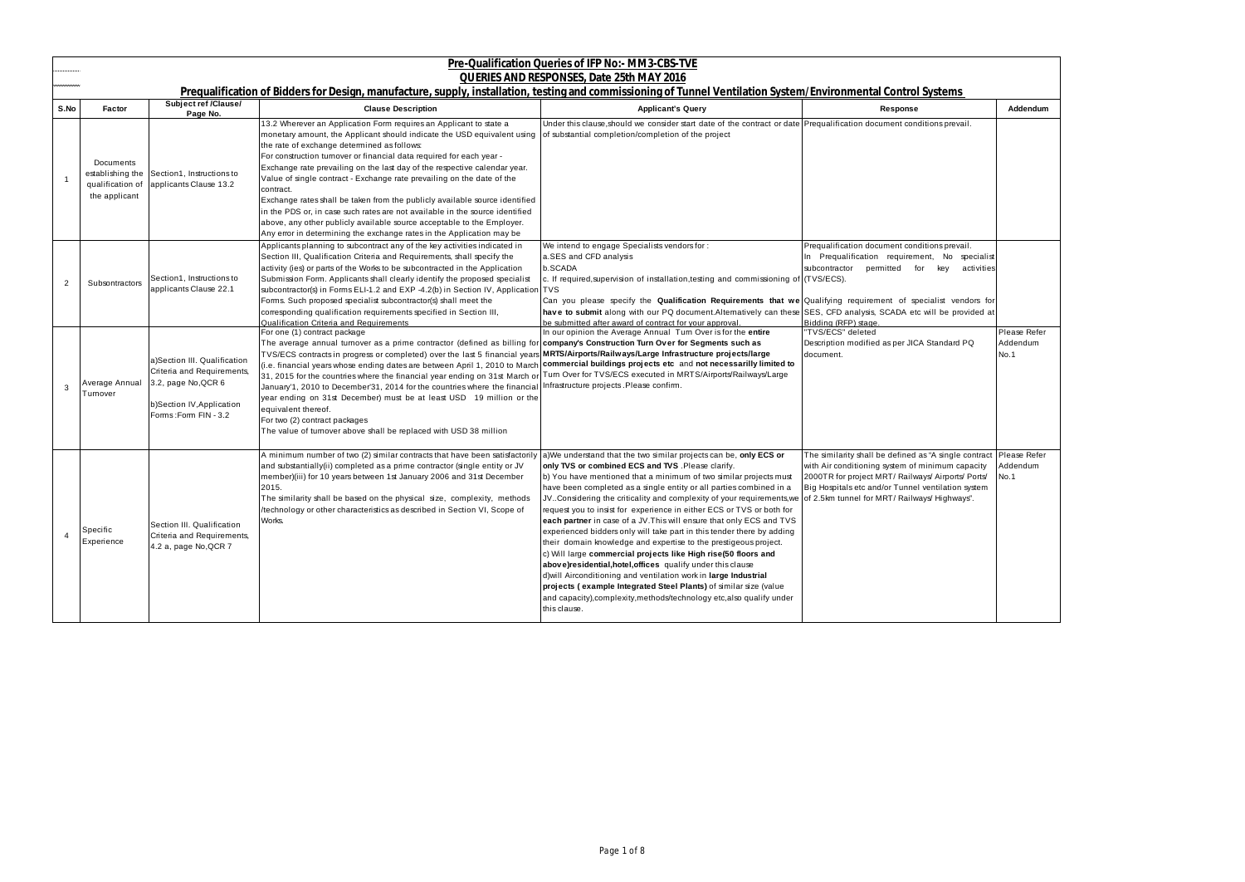|      | Pre-Qualification Queries of IFP No:- MM3-CBS-TVE                  |                                                                                                                                         |                                                                                                                                                                                                                                                                                                                                                                                                                                                                                                                                                                                                                                                                                                                                                                                                                                                                      |                                                                                                                                                                                                                                                                                                                                                                                                                                                                                                                                                                                                                                                                                                                                                                                                                                                                                                                                                                                                                  |                                                                                                                                                                                                                                                                                     |                                  |
|------|--------------------------------------------------------------------|-----------------------------------------------------------------------------------------------------------------------------------------|----------------------------------------------------------------------------------------------------------------------------------------------------------------------------------------------------------------------------------------------------------------------------------------------------------------------------------------------------------------------------------------------------------------------------------------------------------------------------------------------------------------------------------------------------------------------------------------------------------------------------------------------------------------------------------------------------------------------------------------------------------------------------------------------------------------------------------------------------------------------|------------------------------------------------------------------------------------------------------------------------------------------------------------------------------------------------------------------------------------------------------------------------------------------------------------------------------------------------------------------------------------------------------------------------------------------------------------------------------------------------------------------------------------------------------------------------------------------------------------------------------------------------------------------------------------------------------------------------------------------------------------------------------------------------------------------------------------------------------------------------------------------------------------------------------------------------------------------------------------------------------------------|-------------------------------------------------------------------------------------------------------------------------------------------------------------------------------------------------------------------------------------------------------------------------------------|----------------------------------|
|      |                                                                    |                                                                                                                                         | Prequalification of Bidders for Design, manufacture, supply, installation, testing and commissioning of Tunnel Ventilation System/Environmental Control Systems                                                                                                                                                                                                                                                                                                                                                                                                                                                                                                                                                                                                                                                                                                      | QUERIES AND RESPONSES, Date 25th MAY 2016                                                                                                                                                                                                                                                                                                                                                                                                                                                                                                                                                                                                                                                                                                                                                                                                                                                                                                                                                                        |                                                                                                                                                                                                                                                                                     |                                  |
| S.No | Factor                                                             | <b>Subject ref /Clause/</b><br>Page No.                                                                                                 | <b>Clause Description</b>                                                                                                                                                                                                                                                                                                                                                                                                                                                                                                                                                                                                                                                                                                                                                                                                                                            | <b>Applicant's Query</b>                                                                                                                                                                                                                                                                                                                                                                                                                                                                                                                                                                                                                                                                                                                                                                                                                                                                                                                                                                                         | Response                                                                                                                                                                                                                                                                            | Addendum                         |
|      | Documents<br>establishing the<br>qualification of<br>the applicant | Section1, Instructions to<br>applicants Clause 13.2                                                                                     | 13.2 Wherever an Application Form requires an Applicant to state a<br>monetary amount, the Applicant should indicate the USD equivalent using<br>the rate of exchange determined as follows:<br>For construction turnover or financial data required for each year -<br>Exchange rate prevailing on the last day of the respective calendar year.<br>Value of single contract - Exchange rate prevailing on the date of the<br>contract.<br>Exchange rates shall be taken from the publicly available source identified<br>in the PDS or, in case such rates are not available in the source identified<br>above, any other publicly available source acceptable to the Employer.<br>Any error in determining the exchange rates in the Application may be                                                                                                           | Under this clause, should we consider start date of the contract or date Prequalification document conditions prevail.<br>of substantial completion/completion of the project                                                                                                                                                                                                                                                                                                                                                                                                                                                                                                                                                                                                                                                                                                                                                                                                                                    |                                                                                                                                                                                                                                                                                     |                                  |
| 2    | Subsontractors                                                     | Section1, Instructions to<br>applicants Clause 22.1                                                                                     | Applicants planning to subcontract any of the key activities indicated in<br>Section III, Qualification Criteria and Requirements, shall specify the<br>activity (ies) or parts of the Works to be subcontracted in the Application<br>Submission Form. Applicants shall clearly identify the proposed specialist<br>subcontractor(s) in Forms ELI-1.2 and EXP -4.2(b) in Section IV, Application TVS<br>Forms. Such proposed specialist subcontractor(s) shall meet the<br>corresponding qualification requirements specified in Section III,<br>Qualification Criteria and Requirements                                                                                                                                                                                                                                                                            | We intend to engage Specialists vendors for :<br>a.SES and CFD analysis<br>b.SCADA<br>c. If required, supervision of installation, testing and commissioning of (TVS/ECS).<br>Can you please specify the Qualification Requirements that we Qualifying requirement of specialist vendors for<br>have to submit along with our PQ document. Alternatively can these SES, CFD analysis, SCADA etc will be provided at<br>be submitted after award of contract for your approval.                                                                                                                                                                                                                                                                                                                                                                                                                                                                                                                                   | Prequalification document conditions prevail.<br>In Prequalification requirement, No specialist<br>subcontractor<br>permitted for key<br>activities<br>Bidding (RFP) stage.                                                                                                         |                                  |
| 3    | Average Annual<br>Turnover                                         | a)Section III. Qualification<br>Criteria and Requirements,<br>3.2, page No, QCR 6<br>b)Section IV, Application<br>Forms: Form FIN - 3.2 | For one (1) contract package<br>The average annual tumover as a prime contractor (defined as billing for company's Construction Turn Over for Segments such as<br>TVS/ECS contracts in progress or completed) over the last 5 financial years MRTS/Airports/Railways/Large Infrastructure projects/large<br>(i.e. financial years whose ending dates are between April 1, 2010 to March commercial buildings projects etc and not necessarilly limited to<br>31, 2015 for the countries where the financial year ending on 31st March or<br>January'1, 2010 to December'31, 2014 for the countries where the financial Infrastructure projects .Please confirm.<br>year ending on 31st December) must be at least USD 19 million or the<br>equivalent thereof.<br>For two (2) contract packages<br>The value of turnover above shall be replaced with USD 38 million | In our opinion the Average Annual Turn Over is for the entire<br>Turn Over for TVS/ECS executed in MRTS/Airports/Railways/Large                                                                                                                                                                                                                                                                                                                                                                                                                                                                                                                                                                                                                                                                                                                                                                                                                                                                                  | "TVS/ECS" deleted<br>Description modified as per JICA Standard PQ<br>document.                                                                                                                                                                                                      | Please Refer<br>Addendum<br>No.1 |
|      | Specific<br>Experience                                             | Section III. Qualification<br>Criteria and Requirements,<br>4.2 a, page No, QCR 7                                                       | A minimum number of two (2) similar contracts that have been satisfactorily<br>and substantially(ii) completed as a prime contractor (single entity or JV<br>member)(iii) for 10 years between 1st January 2006 and 31st December<br>2015.<br>The similarity shall be based on the physical size, complexity, methods<br>/technology or other characteristics as described in Section VI, Scope of<br>Works.                                                                                                                                                                                                                                                                                                                                                                                                                                                         | a)We understand that the two similar projects can be, only ECS or<br>only TVS or combined ECS and TVS . Please clarify.<br>b) You have mentioned that a minimum of two similar projects must<br>have been completed as a single entity or all parties combined in a<br>JV. Considering the criticality and complexity of your requirements, we<br>request you to insist for experience in either ECS or TVS or both for<br>each partner in case of a JV. This will ensure that only ECS and TVS<br>experienced bidders only will take part in this tender there by adding<br>their domain knowledge and expertise to the prestigeous project.<br>c) Will large commercial projects like High rise(50 floors and<br>above)residential, hotel, offices qualify under this clause<br>d) will Airconditioning and ventilation work in large Industrial<br>projects (example Integrated Steel Plants) of similar size (value<br>and capacity), complexity, methods/technology etc, also qualify under<br>this clause. | The similarity shall be defined as "A single contract Please Refer<br>with Air conditioning system of minimum capacity<br>2000TR for project MRT/ Railways/ Airports/ Ports/<br>Big Hospitals etc and/or Tunnel ventilation system<br>of 2.5km tunnel for MRT/ Railways/ Highways". | Addendum<br>No.1                 |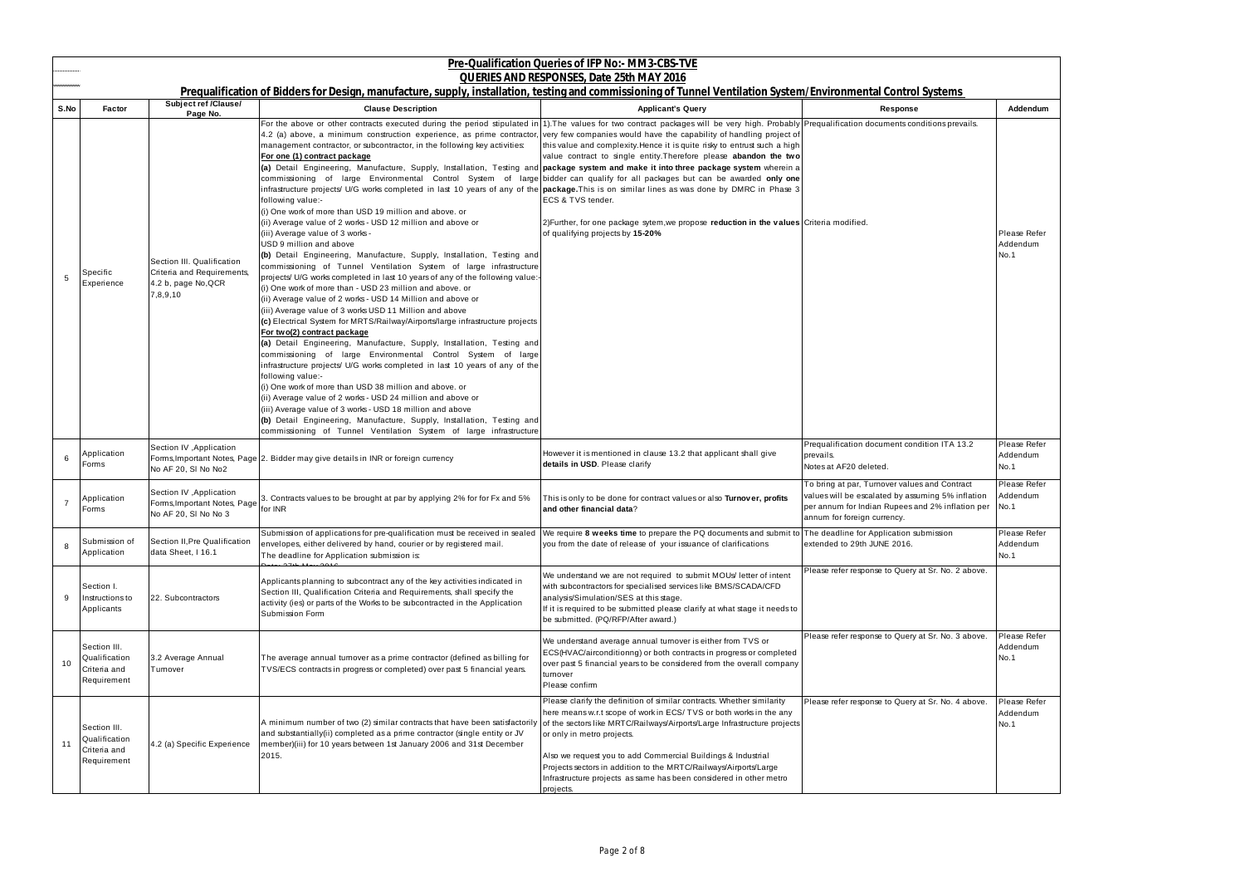| Pre-Qualification Queries of IFP No:- MM3-CBS-TVE<br><b>QUERIES AND RESPONSES, Date 25th MAY 2016</b> |                                                              |                                                                                             |                                                                                                                                                                                                                                                                                                                                                                                                                                                                                                                                                                                                                                                                                                                                                                                                                                                                                                                                                                                                                                                                                                                                                                                                                                                                                                                                                                                                                                                                                                                                                                                                                                                                                                                                                                                                                                                                                                                                                                                                                                                                                                                                                                                                                                    |                                                                                                                                                                                                                                                                                                                                                                                                                                                                               |                                                                                                                                                                                       |                                  |  |
|-------------------------------------------------------------------------------------------------------|--------------------------------------------------------------|---------------------------------------------------------------------------------------------|------------------------------------------------------------------------------------------------------------------------------------------------------------------------------------------------------------------------------------------------------------------------------------------------------------------------------------------------------------------------------------------------------------------------------------------------------------------------------------------------------------------------------------------------------------------------------------------------------------------------------------------------------------------------------------------------------------------------------------------------------------------------------------------------------------------------------------------------------------------------------------------------------------------------------------------------------------------------------------------------------------------------------------------------------------------------------------------------------------------------------------------------------------------------------------------------------------------------------------------------------------------------------------------------------------------------------------------------------------------------------------------------------------------------------------------------------------------------------------------------------------------------------------------------------------------------------------------------------------------------------------------------------------------------------------------------------------------------------------------------------------------------------------------------------------------------------------------------------------------------------------------------------------------------------------------------------------------------------------------------------------------------------------------------------------------------------------------------------------------------------------------------------------------------------------------------------------------------------------|-------------------------------------------------------------------------------------------------------------------------------------------------------------------------------------------------------------------------------------------------------------------------------------------------------------------------------------------------------------------------------------------------------------------------------------------------------------------------------|---------------------------------------------------------------------------------------------------------------------------------------------------------------------------------------|----------------------------------|--|
| S.No                                                                                                  | Factor                                                       | <b>Subject ref /Clause/</b><br>Page No.                                                     | Prequalification of Bidders for Design, manufacture, supply, installation, testing and commissioning of Tunnel Ventilation System/Environmental Control Systems<br><b>Clause Description</b>                                                                                                                                                                                                                                                                                                                                                                                                                                                                                                                                                                                                                                                                                                                                                                                                                                                                                                                                                                                                                                                                                                                                                                                                                                                                                                                                                                                                                                                                                                                                                                                                                                                                                                                                                                                                                                                                                                                                                                                                                                       | <b>Applicant's Query</b>                                                                                                                                                                                                                                                                                                                                                                                                                                                      | Response                                                                                                                                                                              | Addendum                         |  |
| 5                                                                                                     | Specific<br>Experience                                       | Section III. Qualification<br>Criteria and Requirements,<br>4.2 b, page No, QCR<br>7,8,9,10 | For the above or other contracts executed during the period stipulated in 1). The values for two contract packages will be very high. Probably Prequalification documents conditions prevails.<br>4.2 (a) above, a minimum construction experience, as prime contractor, very few companies would have the capability of handling project of<br>management contractor, or subcontractor, in the following key activities:<br>For one (1) contract package<br>(a) Detail Engineering, Manufacture, Supply, Installation, Testing and package system and make it into three package system wherein a<br>commissioning of large Environmental Control System of large bidder can qualify for all packages but can be awarded only one<br>infrastructure projects/ U/G works completed in last 10 years of any of the <b>package</b> . This is on similar lines as was done by DMRC in Phase 3<br>following value:-<br>(i) One work of more than USD 19 million and above. or<br>(ii) Average value of 2 works - USD 12 million and above or<br>(iii) Average value of 3 works -<br>USD 9 million and above<br>(b) Detail Engineering, Manufacture, Supply, Installation, Testing and<br>commissioning of Tunnel Ventilation System of large infrastructure<br>projects U/G works completed in last 10 years of any of the following value:-<br>(i) One work of more than - USD 23 million and above. or<br>(ii) Average value of 2 works - USD 14 Million and above or<br>(iii) Average value of 3 works USD 11 Million and above<br>(c) Electrical System for MRTS/Railway/Airports/large infrastructure projects<br>For two(2) contract package<br>(a) Detail Engineering, Manufacture, Supply, Installation, Testing and<br>commissioning of large Environmental Control System of large<br>infrastructure projects/ U/G works completed in last 10 years of any of the<br>following value:-<br>(i) One work of more than USD 38 million and above. or<br>(ii) Average value of 2 works - USD 24 million and above or<br>(iii) Average value of 3 works - USD 18 million and above<br>(b) Detail Engineering, Manufacture, Supply, Installation, Testing and<br>commissioning of Tunnel Ventilation System of large infrastructure | this value and complexity. Hence it is quite risky to entrust such a high<br>value contract to single entity. Therefore please abandon the two<br>ECS & TVS tender.<br>2) Further, for one package sytem, we propose reduction in the values Criteria modified.<br>of qualifying projects by 15-20%                                                                                                                                                                           |                                                                                                                                                                                       | Please Refer<br>Addendum<br>No.1 |  |
| 6                                                                                                     | Application<br>Forms                                         | Section IV, Application<br>No AF 20, SI No No2                                              | Forms, Important Notes, Page 2. Bidder may give details in INR or foreign currency                                                                                                                                                                                                                                                                                                                                                                                                                                                                                                                                                                                                                                                                                                                                                                                                                                                                                                                                                                                                                                                                                                                                                                                                                                                                                                                                                                                                                                                                                                                                                                                                                                                                                                                                                                                                                                                                                                                                                                                                                                                                                                                                                 | However it is mentioned in clause 13.2 that applicant shall give<br>details in USD. Please clarify                                                                                                                                                                                                                                                                                                                                                                            | Prequalification document condition ITA 13.2<br>prevails.<br>Notes at AF20 deleted.                                                                                                   | Please Refer<br>Addendum<br>No.1 |  |
| $\overline{7}$                                                                                        | Application<br>Forms                                         | Section IV , Application<br>Forms, Important Notes, Page<br>No AF 20, SI No No 3            | 3. Contracts values to be brought at par by applying 2% for for Fx and 5%<br>for INR                                                                                                                                                                                                                                                                                                                                                                                                                                                                                                                                                                                                                                                                                                                                                                                                                                                                                                                                                                                                                                                                                                                                                                                                                                                                                                                                                                                                                                                                                                                                                                                                                                                                                                                                                                                                                                                                                                                                                                                                                                                                                                                                               | This is only to be done for contract values or also Turnover, profits<br>and other financial data?                                                                                                                                                                                                                                                                                                                                                                            | To bring at par, Turnover values and Contract<br>values will be escalated by assuming 5% inflation<br>per annum for Indian Rupees and 2% inflation per<br>annum for foreign currency. | Please Refer<br>Addendum<br>No.1 |  |
| 8                                                                                                     | Submission of<br>Application                                 | Section II.Pre Qualification<br>data Sheet, I 16.1                                          | Submission of applications for pre-qualification must be received in sealed<br>envelopes, either delivered by hand, courier or by registered mail.<br>The deadline for Application submission is:                                                                                                                                                                                                                                                                                                                                                                                                                                                                                                                                                                                                                                                                                                                                                                                                                                                                                                                                                                                                                                                                                                                                                                                                                                                                                                                                                                                                                                                                                                                                                                                                                                                                                                                                                                                                                                                                                                                                                                                                                                  | We require 8 weeks time to prepare the PQ documents and submit to The deadline for Application submission<br>you from the date of release of your issuance of clarifications                                                                                                                                                                                                                                                                                                  | extended to 29th JUNE 2016.                                                                                                                                                           | Please Refer<br>Addendum<br>No.1 |  |
| 9                                                                                                     | Section I.<br>Instructions to<br>Applicants                  | 22. Subcontractors                                                                          | Applicants planning to subcontract any of the key activities indicated in<br>Section III, Qualification Criteria and Requirements, shall specify the<br>activity (ies) or parts of the Works to be subcontracted in the Application<br>Submission Form                                                                                                                                                                                                                                                                                                                                                                                                                                                                                                                                                                                                                                                                                                                                                                                                                                                                                                                                                                                                                                                                                                                                                                                                                                                                                                                                                                                                                                                                                                                                                                                                                                                                                                                                                                                                                                                                                                                                                                             | We understand we are not required to submit MOUs letter of intent<br>with subcontractors for specialised services like BMS/SCADA/CFD<br>analysis/Simulation/SES at this stage.<br>If it is required to be submitted please clarify at what stage it needs to<br>be submitted. (PQ/RFP/After award.)                                                                                                                                                                           | Please refer response to Query at Sr. No. 2 above.                                                                                                                                    |                                  |  |
| 10                                                                                                    | Section III.<br>Qualification<br>Criteria and<br>Requirement | 3.2 Average Annual<br>Turnover                                                              | The average annual turnover as a prime contractor (defined as billing for<br>TVS/ECS contracts in progress or completed) over past 5 financial years.                                                                                                                                                                                                                                                                                                                                                                                                                                                                                                                                                                                                                                                                                                                                                                                                                                                                                                                                                                                                                                                                                                                                                                                                                                                                                                                                                                                                                                                                                                                                                                                                                                                                                                                                                                                                                                                                                                                                                                                                                                                                              | We understand average annual turnover is either from TVS or<br>ECS(HVAC/airconditionng) or both contracts in progress or completed<br>over past 5 financial years to be considered from the overall company<br>turnover<br>Please confirm                                                                                                                                                                                                                                     | Please refer response to Query at Sr. No. 3 above.                                                                                                                                    | Please Refer<br>Addendum<br>No.1 |  |
| 11                                                                                                    | Section III.<br>Qualification<br>Criteria and<br>Requirement | 4.2 (a) Specific Experience                                                                 | A minimum number of two (2) similar contracts that have been satisfactorily<br>and substantially(ii) completed as a prime contractor (single entity or JV<br>member)(iii) for 10 years between 1st January 2006 and 31st December<br>2015.                                                                                                                                                                                                                                                                                                                                                                                                                                                                                                                                                                                                                                                                                                                                                                                                                                                                                                                                                                                                                                                                                                                                                                                                                                                                                                                                                                                                                                                                                                                                                                                                                                                                                                                                                                                                                                                                                                                                                                                         | Please clarify the definition of similar contracts. Whether similarity<br>here means w.r.t scope of work in ECS/TVS or both works in the any<br>of the sectors like MRTC/Railways/Airports/Large Infrastructure projects<br>or only in metro projects.<br>Also we request you to add Commercial Buildings & Industrial<br>Projects sectors in addition to the MRTC/Railways/Airports/Large<br>Infrastructure projects as same has been considered in other metro<br>projects. | Please refer response to Query at Sr. No. 4 above.                                                                                                                                    | Please Refer<br>Addendum<br>No.1 |  |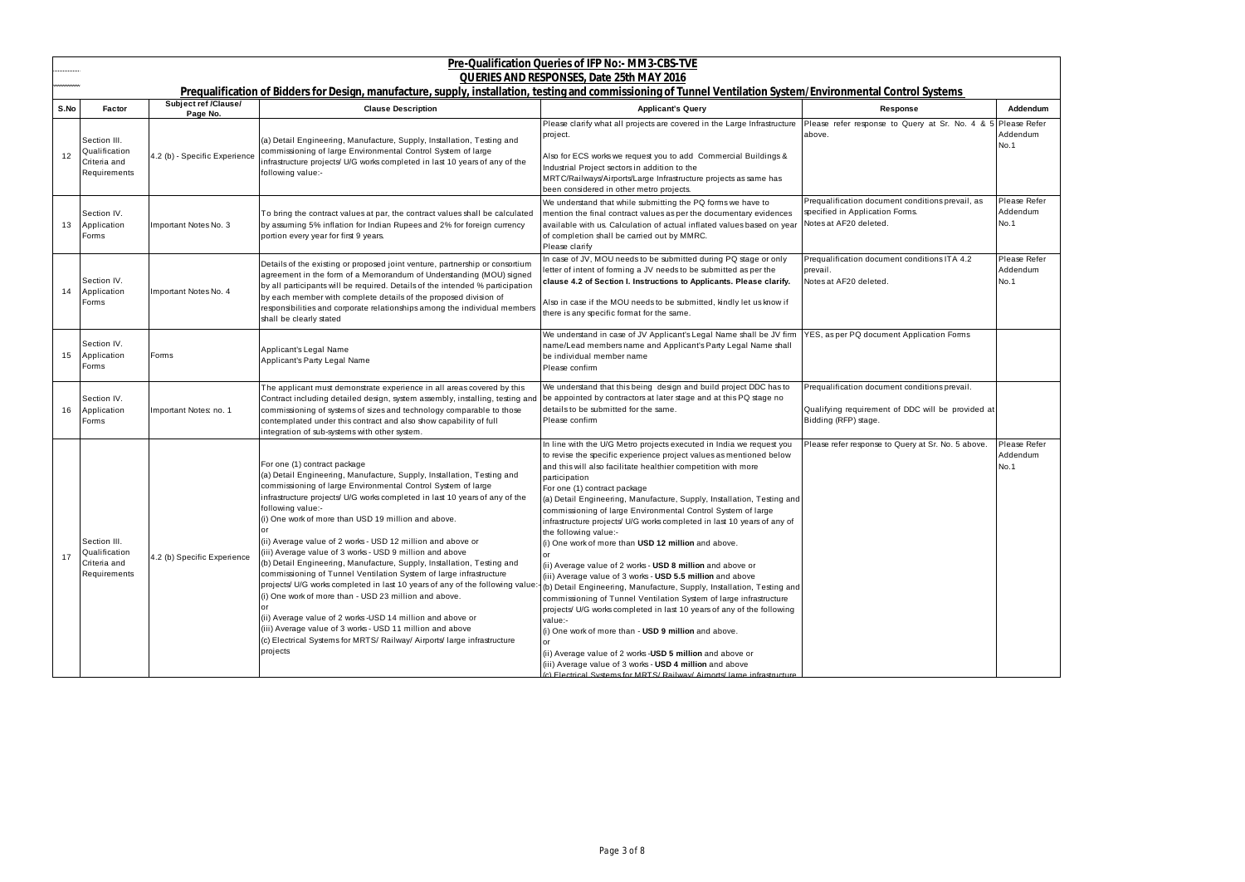|      |                                                               |                                           |                                                                                                                                                                                                                                                                                                                                                                                                                                                                                                                                                                                                                                                                                                                                                                                                                                                                                                                                                                                | Pre-Qualification Queries of IFP No:- MM3-CBS-TVE                                                                                                                                                                                                                                                                                                                                                                                                                                                                                                                                                                                                                                                                                                                                                                                                                                                                                                                                                                                                                                                                                                                                                |                                                                                                                            |                                  |
|------|---------------------------------------------------------------|-------------------------------------------|--------------------------------------------------------------------------------------------------------------------------------------------------------------------------------------------------------------------------------------------------------------------------------------------------------------------------------------------------------------------------------------------------------------------------------------------------------------------------------------------------------------------------------------------------------------------------------------------------------------------------------------------------------------------------------------------------------------------------------------------------------------------------------------------------------------------------------------------------------------------------------------------------------------------------------------------------------------------------------|--------------------------------------------------------------------------------------------------------------------------------------------------------------------------------------------------------------------------------------------------------------------------------------------------------------------------------------------------------------------------------------------------------------------------------------------------------------------------------------------------------------------------------------------------------------------------------------------------------------------------------------------------------------------------------------------------------------------------------------------------------------------------------------------------------------------------------------------------------------------------------------------------------------------------------------------------------------------------------------------------------------------------------------------------------------------------------------------------------------------------------------------------------------------------------------------------|----------------------------------------------------------------------------------------------------------------------------|----------------------------------|
|      |                                                               |                                           | Prequalification of Bidders for Design, manufacture, supply, installation, testing and commissioning of Tunnel Ventilation System/Environmental Control Systems                                                                                                                                                                                                                                                                                                                                                                                                                                                                                                                                                                                                                                                                                                                                                                                                                | <b>QUERIES AND RESPONSES, Date 25th MAY 2016</b>                                                                                                                                                                                                                                                                                                                                                                                                                                                                                                                                                                                                                                                                                                                                                                                                                                                                                                                                                                                                                                                                                                                                                 |                                                                                                                            |                                  |
| S.No | <b>Factor</b>                                                 | <b>Subject ref /Clause/</b>               | <b>Clause Description</b>                                                                                                                                                                                                                                                                                                                                                                                                                                                                                                                                                                                                                                                                                                                                                                                                                                                                                                                                                      | <b>Applicant's Query</b>                                                                                                                                                                                                                                                                                                                                                                                                                                                                                                                                                                                                                                                                                                                                                                                                                                                                                                                                                                                                                                                                                                                                                                         | Response                                                                                                                   | Addendum                         |
| 12   | Section III.<br>Qualification<br>Criteria and<br>Requirements | Page No.<br>4.2 (b) - Specific Experience | (a) Detail Engineering, Manufacture, Supply, Installation, Testing and<br>commissioning of large Environmental Control System of large<br>infrastructure projects/ U/G works completed in last 10 years of any of the<br>following value:-                                                                                                                                                                                                                                                                                                                                                                                                                                                                                                                                                                                                                                                                                                                                     | Please clarify what all projects are covered in the Large Infrastructure<br>project.<br>Also for ECS works we request you to add Commercial Buildings &<br>Industrial Project sectors in addition to the<br>MRTC/Railways/Airports/Large Infrastructure projects as same has<br>been considered in other metro projects.                                                                                                                                                                                                                                                                                                                                                                                                                                                                                                                                                                                                                                                                                                                                                                                                                                                                         | Please refer response to Query at Sr. No. 4 & 5 Please Refer<br>above.                                                     | Addendum<br>No.1                 |
| 13   | Section IV.<br>Application<br>Forms                           | Important Notes No. 3                     | To bring the contract values at par, the contract values shall be calculated<br>by assuming 5% inflation for Indian Rupees and 2% for foreign currency<br>portion every year for first 9 years.                                                                                                                                                                                                                                                                                                                                                                                                                                                                                                                                                                                                                                                                                                                                                                                | We understand that while submitting the PQ forms we have to<br>mention the final contract values as per the documentary evidences<br>available with us. Calculation of actual inflated values based on year<br>of completion shall be carried out by MMRC.<br>Please clarify                                                                                                                                                                                                                                                                                                                                                                                                                                                                                                                                                                                                                                                                                                                                                                                                                                                                                                                     | Prequalification document conditions prevail, as<br>specified in Application Forms.<br>Notes at AF20 deleted.              | Please Refer<br>Addendum<br>No.1 |
| 14   | Section IV.<br>Application<br>Forms                           | Important Notes No. 4                     | Details of the existing or proposed joint venture, partnership or consortium<br>agreement in the form of a Memorandum of Understanding (MOU) signed<br>by all participants will be required. Details of the intended % participation<br>by each member with complete details of the proposed division of<br>responsibilities and corporate relationships among the individual members<br>shall be clearly stated                                                                                                                                                                                                                                                                                                                                                                                                                                                                                                                                                               | In case of JV, MOU needs to be submitted during PQ stage or only<br>letter of intent of forming a JV needs to be submitted as per the<br>clause 4.2 of Section I. Instructions to Applicants. Please clarify.<br>Also in case if the MOU needs to be submitted, kindly let us know if<br>there is any specific format for the same.                                                                                                                                                                                                                                                                                                                                                                                                                                                                                                                                                                                                                                                                                                                                                                                                                                                              | Prequalification document conditions ITA 4.2<br>prevail.<br>Notes at AF20 deleted.                                         | Please Refer<br>Addendum<br>No.1 |
| 15   | Section IV.<br>Application<br>Forms                           | Forms                                     | Applicant's Legal Name<br>Applicant's Party Legal Name                                                                                                                                                                                                                                                                                                                                                                                                                                                                                                                                                                                                                                                                                                                                                                                                                                                                                                                         | We understand in case of JV Applicant's Legal Name shall be JV firm<br>name/Lead members name and Applicant's Party Legal Name shall<br>be individual member name<br>Please confirm                                                                                                                                                                                                                                                                                                                                                                                                                                                                                                                                                                                                                                                                                                                                                                                                                                                                                                                                                                                                              | YES, as per PQ document Application Forms                                                                                  |                                  |
| 16   | Section IV.<br>Application<br>Forms                           | Important Notes: no. 1                    | The applicant must demonstrate experience in all areas covered by this<br>Contract including detailed design, system assembly, installing, testing and<br>commissioning of systems of sizes and technology comparable to those<br>contemplated under this contract and also show capability of full<br>integration of sub-systems with other system.                                                                                                                                                                                                                                                                                                                                                                                                                                                                                                                                                                                                                           | We understand that this being design and build project DDC has to<br>be appointed by contractors at later stage and at this PQ stage no<br>details to be submitted for the same.<br>Please confirm                                                                                                                                                                                                                                                                                                                                                                                                                                                                                                                                                                                                                                                                                                                                                                                                                                                                                                                                                                                               | Prequalification document conditions prevail.<br>Qualifying requirement of DDC will be provided at<br>Bidding (RFP) stage. |                                  |
| 17   | Section III.<br>Qualification<br>Criteria and<br>Requirements | 4.2 (b) Specific Experience               | For one (1) contract package<br>(a) Detail Engineering, Manufacture, Supply, Installation, Testing and<br>commissioning of large Environmental Control System of large<br>infrastructure projects/ U/G works completed in last 10 years of any of the<br>following value:-<br>(i) One work of more than USD 19 million and above.<br>or<br>(ii) Average value of 2 works - USD 12 million and above or<br>(iii) Average value of 3 works - USD 9 million and above<br>(b) Detail Engineering, Manufacture, Supply, Installation, Testing and<br>commissioning of Tunnel Ventilation System of large infrastructure<br>projects/ U/G works completed in last 10 years of any of the following value<br>(i) One work of more than - USD 23 million and above.<br>(ii) Average value of 2 works -USD 14 million and above or<br>(iii) Average value of 3 works - USD 11 million and above<br>(c) Electrical Systems for MRTS/ Railway/ Airports/ large infrastructure<br>projects | In line with the U/G Metro projects executed in India we request you<br>to revise the specific experience project values as mentioned below<br>and this will also facilitate healthier competition with more<br>participation<br>For one (1) contract package<br>(a) Detail Engineering, Manufacture, Supply, Installation, Testing and<br>commissioning of large Environmental Control System of large<br>infrastructure projects/ U/G works completed in last 10 years of any of<br>the following value:-<br>(i) One work of more than USD 12 million and above.<br>(ii) Average value of 2 works - USD 8 million and above or<br>(iii) Average value of 3 works - USD 5.5 million and above<br>(b) Detail Engineering, Manufacture, Supply, Installation, Testing and<br>commissioning of Tunnel Ventilation System of large infrastructure<br>projects U/G works completed in last 10 years of any of the following<br>value:-<br>(i) One work of more than - <b>USD 9 million</b> and above.<br>(ii) Average value of 2 works - USD 5 million and above or<br>(iii) Average value of 3 works - USD 4 million and above<br>C Flectrical Systems for MRTS/Railway/Aimorts/Jame infrastructure | Please refer response to Query at Sr. No. 5 above.                                                                         | Please Refer<br>Addendum<br>No.1 |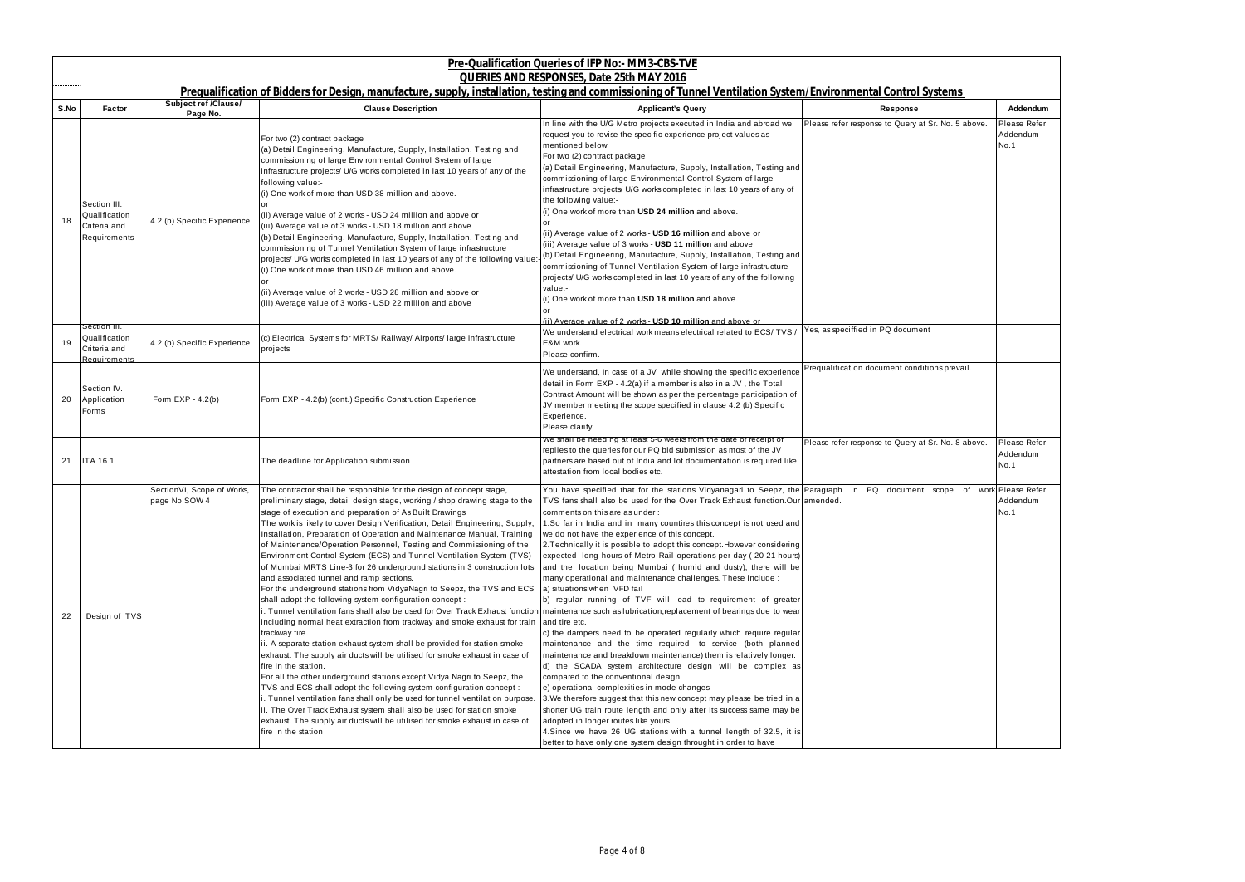|      |                                                               |                                              |                                                                                                                                                                                                                                                                                                                                                                                                                                                                                                                                                                                                                                                                                                                                                                                                                                                                                                                                                                                                                                                                                                                                                                                                                                                                                                                                                                                                                                                                                                                                                                                                                                                        | Pre-Qualification Queries of IFP No:- MM3-CBS-TVE                                                                                                                                                                                                                                                                                                                                                                                                                                                                                                                                                                                                                                                                                                                                                                                                                                                                                                                                                                                                                                                                                                                                                                                                                                                                                                                                                                                                                        |                                                    |                                  |
|------|---------------------------------------------------------------|----------------------------------------------|--------------------------------------------------------------------------------------------------------------------------------------------------------------------------------------------------------------------------------------------------------------------------------------------------------------------------------------------------------------------------------------------------------------------------------------------------------------------------------------------------------------------------------------------------------------------------------------------------------------------------------------------------------------------------------------------------------------------------------------------------------------------------------------------------------------------------------------------------------------------------------------------------------------------------------------------------------------------------------------------------------------------------------------------------------------------------------------------------------------------------------------------------------------------------------------------------------------------------------------------------------------------------------------------------------------------------------------------------------------------------------------------------------------------------------------------------------------------------------------------------------------------------------------------------------------------------------------------------------------------------------------------------------|--------------------------------------------------------------------------------------------------------------------------------------------------------------------------------------------------------------------------------------------------------------------------------------------------------------------------------------------------------------------------------------------------------------------------------------------------------------------------------------------------------------------------------------------------------------------------------------------------------------------------------------------------------------------------------------------------------------------------------------------------------------------------------------------------------------------------------------------------------------------------------------------------------------------------------------------------------------------------------------------------------------------------------------------------------------------------------------------------------------------------------------------------------------------------------------------------------------------------------------------------------------------------------------------------------------------------------------------------------------------------------------------------------------------------------------------------------------------------|----------------------------------------------------|----------------------------------|
|      |                                                               |                                              | Prequalification of Bidders for Design, manufacture, supply, installation, testing and commissioning of Tunnel Ventilation System/Environmental Control Systems                                                                                                                                                                                                                                                                                                                                                                                                                                                                                                                                                                                                                                                                                                                                                                                                                                                                                                                                                                                                                                                                                                                                                                                                                                                                                                                                                                                                                                                                                        | QUERIES AND RESPONSES, Date 25th MAY 2016                                                                                                                                                                                                                                                                                                                                                                                                                                                                                                                                                                                                                                                                                                                                                                                                                                                                                                                                                                                                                                                                                                                                                                                                                                                                                                                                                                                                                                |                                                    |                                  |
| S.No | <b>Factor</b>                                                 | Subject ref /Clause/<br>Page No.             | <b>Clause Description</b>                                                                                                                                                                                                                                                                                                                                                                                                                                                                                                                                                                                                                                                                                                                                                                                                                                                                                                                                                                                                                                                                                                                                                                                                                                                                                                                                                                                                                                                                                                                                                                                                                              | <b>Applicant's Query</b>                                                                                                                                                                                                                                                                                                                                                                                                                                                                                                                                                                                                                                                                                                                                                                                                                                                                                                                                                                                                                                                                                                                                                                                                                                                                                                                                                                                                                                                 | Response                                           | Addendum                         |
| 18   | Section III.<br>Qualification<br>Criteria and<br>Requirements | 4.2 (b) Specific Experience                  | For two (2) contract package<br>(a) Detail Engineering, Manufacture, Supply, Installation, Testing and<br>commissioning of large Environmental Control System of large<br>infrastructure projects/ U/G works completed in last 10 years of any of the<br>following value:-<br>(i) One work of more than USD 38 million and above.<br>(ii) Average value of 2 works - USD 24 million and above or<br>(iii) Average value of 3 works - USD 18 million and above<br>(b) Detail Engineering, Manufacture, Supply, Installation, Testing and<br>commissioning of Tunnel Ventilation System of large infrastructure<br>projects/ U/G works completed in last 10 years of any of the following value<br>(i) One work of more than USD 46 million and above.<br>(ii) Average value of 2 works - USD 28 million and above or<br>(iii) Average value of 3 works - USD 22 million and above                                                                                                                                                                                                                                                                                                                                                                                                                                                                                                                                                                                                                                                                                                                                                                       | In line with the U/G Metro projects executed in India and abroad we<br>request you to revise the specific experience project values as<br>mentioned below<br>For two (2) contract package<br>(a) Detail Engineering, Manufacture, Supply, Installation, Testing and<br>commissioning of large Environmental Control System of large<br>infrastructure projects/ U/G works completed in last 10 years of any of<br>the following value:-<br>(i) One work of more than USD 24 million and above.<br>(ii) Average value of 2 works - USD 16 million and above or<br>(iii) Average value of 3 works - USD 11 million and above<br>(b) Detail Engineering, Manufacture, Supply, Installation, Testing and<br>commissioning of Tunnel Ventilation System of large infrastructure<br>projects/ U/G works completed in last 10 years of any of the following<br>value:-<br>(i) One work of more than USD 18 million and above.                                                                                                                                                                                                                                                                                                                                                                                                                                                                                                                                                   | Please refer response to Query at Sr. No. 5 above. | Please Refer<br>Addendum<br>No.1 |
| 19   | Section III.<br>Qualification<br>Criteria and<br>Requirements | 4.2 (b) Specific Experience                  | (c) Electrical Systems for MRTS/ Railway/ Airports/ large infrastructure<br>projects                                                                                                                                                                                                                                                                                                                                                                                                                                                                                                                                                                                                                                                                                                                                                                                                                                                                                                                                                                                                                                                                                                                                                                                                                                                                                                                                                                                                                                                                                                                                                                   | (ii) Average value of 2 works - USD 10 million and above or<br>We understand electrical work means electrical related to ECS/ TVS<br>E&M work.<br>Please confirm.                                                                                                                                                                                                                                                                                                                                                                                                                                                                                                                                                                                                                                                                                                                                                                                                                                                                                                                                                                                                                                                                                                                                                                                                                                                                                                        | Yes, as speciffied in PQ document                  |                                  |
| 20   | Section IV.<br>Application<br>Forms                           | Form $EXP - 4.2(b)$                          | Form EXP - 4.2(b) (cont.) Specific Construction Experience                                                                                                                                                                                                                                                                                                                                                                                                                                                                                                                                                                                                                                                                                                                                                                                                                                                                                                                                                                                                                                                                                                                                                                                                                                                                                                                                                                                                                                                                                                                                                                                             | We understand, In case of a JV while showing the specific experience<br>detail in Form EXP - 4.2(a) if a member is also in a JV, the Total<br>Contract Amount will be shown as per the percentage participation of<br>JV member meeting the scope specified in clause 4.2 (b) Specific<br>Experience.<br>Please clarify                                                                                                                                                                                                                                                                                                                                                                                                                                                                                                                                                                                                                                                                                                                                                                                                                                                                                                                                                                                                                                                                                                                                                  | Prequalification document conditions prevail.      |                                  |
| 21   | <b>ITA 16.1</b>                                               |                                              | The deadline for Application submission                                                                                                                                                                                                                                                                                                                                                                                                                                                                                                                                                                                                                                                                                                                                                                                                                                                                                                                                                                                                                                                                                                                                                                                                                                                                                                                                                                                                                                                                                                                                                                                                                | we shall be needing at least 5-6 weeks from the date of receipt of<br>replies to the queries for our PQ bid submission as most of the JV<br>partners are based out of India and lot documentation is required like<br>attestation from local bodies etc.                                                                                                                                                                                                                                                                                                                                                                                                                                                                                                                                                                                                                                                                                                                                                                                                                                                                                                                                                                                                                                                                                                                                                                                                                 | Please refer response to Query at Sr. No. 8 above. | Please Refer<br>Addendum<br>No.1 |
| 22   | Design of TVS                                                 | Section VI, Scope of Works,<br>page No SOW 4 | The contractor shall be responsible for the design of concept stage,<br>preliminary stage, detail design stage, working / shop drawing stage to the<br>stage of execution and preparation of As Built Drawings.<br>The work is likely to cover Design Verification, Detail Engineering, Supply,<br>Installation, Preparation of Operation and Maintenance Manual, Training<br>of Maintenance/Operation Personnel, Testing and Commissioning of the<br>Environment Control System (ECS) and Tunnel Ventilation System (TVS)<br>of Mumbai MRTS Line-3 for 26 underground stations in 3 construction lots<br>and associated tunnel and ramp sections.<br>For the underground stations from VidyaNagri to Seepz, the TVS and ECS<br>shall adopt the following system configuration concept :<br>i. Tunnel ventilation fans shall also be used for Over Track Exhaust function maintenance such as lubrication, replacement of bearings due to wear<br>including normal heat extraction from trackway and smoke exhaust for train<br>trackway fire.<br>ii. A separate station exhaust system shall be provided for station smoke<br>exhaust. The supply air ducts will be utilised for smoke exhaust in case of<br>fire in the station.<br>For all the other underground stations except Vidya Nagri to Seepz, the<br>TVS and ECS shall adopt the following system configuration concept :<br>i. Tunnel ventilation fans shall only be used for tunnel ventilation purpose.<br>ii. The Over Track Exhaust system shall also be used for station smoke<br>exhaust. The supply air ducts will be utilised for smoke exhaust in case of<br>fire in the station | You have specified that for the stations Vidyanagari to Seepz, the Paragraph in PQ document scope of work Please Refer<br>TVS fans shall also be used for the Over Track Exhaust function.Our amended.<br>comments on this are as under:<br>1.So far in India and in many countires this concept is not used and<br>we do not have the experience of this concept.<br>2. Technically it is possible to adopt this concept. However considering<br>expected long hours of Metro Rail operations per day (20-21 hours)<br>and the location being Mumbai (humid and dusty), there will be<br>many operational and maintenance challenges. These include :<br>a) situations when VFD fail<br>b) regular running of TVF will lead to requirement of greater<br>and tire etc.<br>c) the dampers need to be operated regularly which require regular<br>maintenance and the time required to service (both planned<br>maintenance and breakdown maintenance) them is relatively longer.<br>d) the SCADA system architecture design will be complex as<br>compared to the conventional design.<br>e) operational complexities in mode changes<br>3. We therefore suggest that this new concept may please be tried in a<br>shorter UG train route length and only after its success same may be<br>adopted in longer routes like yours<br>4. Since we have 26 UG stations with a tunnel length of 32.5, it is<br>better to have only one system design throught in order to have |                                                    | Addendum<br>No.1                 |

| <u>/stems</u>              |                                  |
|----------------------------|----------------------------------|
|                            | Addendum                         |
| Sr. No. 5 above.           | Please Refer<br>Addendum<br>No.1 |
|                            |                                  |
| ons prevail.               |                                  |
| Sr. No. 8 above.           | Please Refer<br>Addendum<br>No.1 |
| scope of work Please Refer | Addendum<br>No.1                 |

┑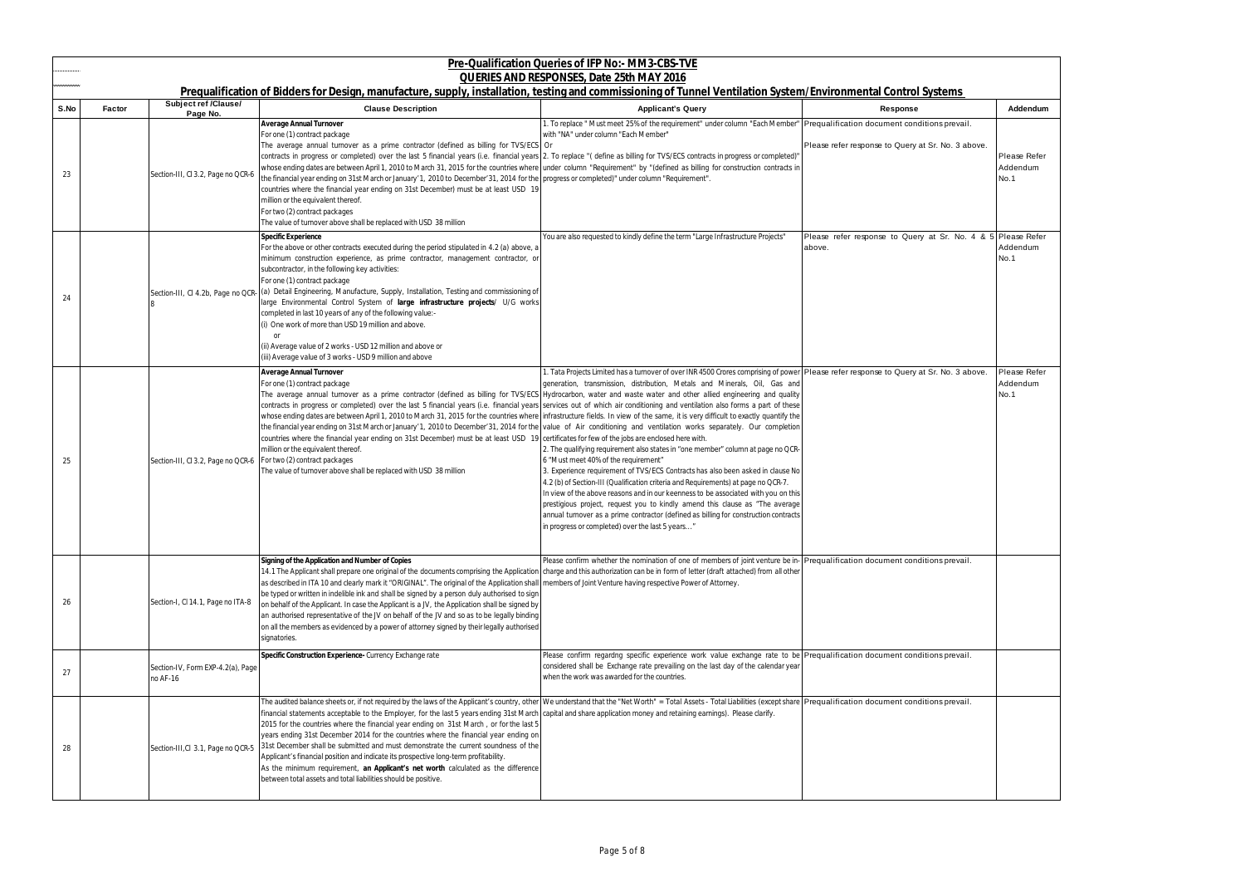|      | Pre-Qualification Queries of IFP No:- MM3-CBS-TVE<br>QUERIES AND RESPONSES, Date 25th MAY 2016<br>Prequalification of Bidders for Design, manufacture, supply, installation, testing and commissioning of Tunnel Ventilation System/Environmental Control Systems |                                                                    |                                                                                                                                                                                                                                                                                                                                                                                                                                                                                                                                                                                                                                                                                                                                                                                                                                                                                                                                                                    |                                                                                                                                                                                                                                                                                                                                                                                                                                                                                                                                                                                                                                                                                                                                                                                                                                                                                                        |                                                                        |                                  |  |  |
|------|-------------------------------------------------------------------------------------------------------------------------------------------------------------------------------------------------------------------------------------------------------------------|--------------------------------------------------------------------|--------------------------------------------------------------------------------------------------------------------------------------------------------------------------------------------------------------------------------------------------------------------------------------------------------------------------------------------------------------------------------------------------------------------------------------------------------------------------------------------------------------------------------------------------------------------------------------------------------------------------------------------------------------------------------------------------------------------------------------------------------------------------------------------------------------------------------------------------------------------------------------------------------------------------------------------------------------------|--------------------------------------------------------------------------------------------------------------------------------------------------------------------------------------------------------------------------------------------------------------------------------------------------------------------------------------------------------------------------------------------------------------------------------------------------------------------------------------------------------------------------------------------------------------------------------------------------------------------------------------------------------------------------------------------------------------------------------------------------------------------------------------------------------------------------------------------------------------------------------------------------------|------------------------------------------------------------------------|----------------------------------|--|--|
| S.No | <b>Factor</b>                                                                                                                                                                                                                                                     | <b>Subject ref /Clause/</b><br>Page No.                            | <b>Clause Description</b>                                                                                                                                                                                                                                                                                                                                                                                                                                                                                                                                                                                                                                                                                                                                                                                                                                                                                                                                          | <b>Applicant's Query</b>                                                                                                                                                                                                                                                                                                                                                                                                                                                                                                                                                                                                                                                                                                                                                                                                                                                                               | Response                                                               | Addendum                         |  |  |
| 23   |                                                                                                                                                                                                                                                                   | Section-III, CI 3.2, Page no QCR-6                                 | Average Annual Turnover<br>For one (1) contract package<br>The average annual turnover as a prime contractor (defined as billing for TVS/ECS Or<br>contracts in progress or completed) over the last 5 financial years (i.e. financial years 2. To replace "(define as billing for TVS/ECS contracts in progress or completed)"<br>whose ending dates are between April 1, 2010 to March 31, 2015 for the countries where under column "Requirement" by "(defined as billing for construction contracts in<br>the financial year ending on 31st March or January '1, 2010 to December' 31, 2014 for the progress or completed)" under column "Requirement".<br>countries where the financial year ending on 31st December) must be at least USD 19<br>million or the equivalent thereof.<br>For two (2) contract packages<br>The value of turnover above shall be replaced with USD 38 million                                                                     | 1. To replace " Must meet 25% of the requirement" under column "Each Member"   Prequalification document conditions prevail.<br>with "NA" under column "Each Member"                                                                                                                                                                                                                                                                                                                                                                                                                                                                                                                                                                                                                                                                                                                                   | Please refer response to Query at Sr. No. 3 above.                     | Please Refer<br>Addendum<br>No.1 |  |  |
| 24   |                                                                                                                                                                                                                                                                   | Section-III, CI 4.2b, Page no QCR-                                 | Specific Experience<br>For the above or other contracts executed during the period stipulated in 4.2 (a) above, a<br>minimum construction experience, as prime contractor, management contractor, or<br>subcontractor, in the following key activities:<br>For one (1) contract package<br>(a) Detail Engineering, Manufacture, Supply, Installation, Testing and commissioning of<br>large Environmental Control System of large infrastructure projects/ U/G works<br>completed in last 10 years of any of the following value:-<br>(i) One work of more than USD 19 million and above.<br>(ii) Average value of 2 works - USD 12 million and above or<br>(iii) Average value of 3 works - USD 9 million and above                                                                                                                                                                                                                                               | You are also requested to kindly define the term "Large Infrastructure Projects"                                                                                                                                                                                                                                                                                                                                                                                                                                                                                                                                                                                                                                                                                                                                                                                                                       | Please refer response to Query at Sr. No. 4 & 5 Please Refer<br>above. | Addendum<br>No.1                 |  |  |
| 25   |                                                                                                                                                                                                                                                                   | Section-III, CI 3.2, Page no QCR-6   For two (2) contract packages | Average Annual Turnover<br>For one (1) contract package<br>The average annual turnover as a prime contractor (defined as billing for TVS/ECS Hydrocarbon, water and waste water and other allied engineering and quality<br>contracts in progress or completed) over the last 5 financial years (i.e. financial years services out of which air conditioning and ventilation also forms a part of these<br>whose ending dates are between April 1, 2010 to March 31, 2015 for the countries where infrastructure fields. In view of the same, it is very difficult to exactly quantify the<br>the financial year ending on 31st March or January'1, 2010 to December'31, 2014 for the value of Air conditioning and ventilation works separately. Our completion<br>countries where the financial year ending on 31st December) must be at least USD 19<br>million or the equivalent thereof.<br>The value of turnover above shall be replaced with USD 38 million | 1. Tata Projects Limited has a turnover of over INR 4500 Crores comprising of power Please refer response to Query at Sr. No. 3 above.<br>generation, transmission, distribution, Metals and Minerals, Oil, Gas and<br>certificates for few of the jobs are enclosed here with.<br>2. The qualifying requirement also states in "one member" column at page no QCR-<br>6 "Must meet 40% of the requirement"<br>3. Experience requirement of TVS/ECS Contracts has also been asked in clause No<br>4.2 (b) of Section-III (Qualification criteria and Requirements) at page no QCR-7.<br>In view of the above reasons and in our keenness to be associated with you on this<br>prestigious project, request you to kindly amend this clause as "The average<br>annual turnover as a prime contractor (defined as billing for construction contracts<br>in progress or completed) over the last 5 years" |                                                                        | Please Refer<br>Addendum<br>No.1 |  |  |
| 26   |                                                                                                                                                                                                                                                                   | Section-I, CI 14.1, Page no ITA-8                                  | Signing of the Application and Number of Copies<br>14.1 The Applicant shall prepare one original of the documents comprising the Application charge and this authorization can be in form of letter (draft attached) from all other<br>as described in ITA 10 and clearly mark it "ORIGINAL". The original of the Application shall   members of Joint Venture having respective Power of Attorney<br>be typed or written in indelible ink and shall be signed by a person duly authorised to sign<br>on behalf of the Applicant. In case the Applicant is a JV, the Application shall be signed by<br>an authorised representative of the JV on behalf of the JV and so as to be legally binding<br>on all the members as evidenced by a power of attorney signed by their legally authorised<br>signatories.                                                                                                                                                     | Please confirm whether the nomination of one of members of joint venture be in- Prequalification document conditions prevail.                                                                                                                                                                                                                                                                                                                                                                                                                                                                                                                                                                                                                                                                                                                                                                          |                                                                        |                                  |  |  |
| 27   |                                                                                                                                                                                                                                                                   | Section-IV, Form EXP-4.2(a), Page<br>no AF-16                      | Specific Construction Experience- Currency Exchange rate                                                                                                                                                                                                                                                                                                                                                                                                                                                                                                                                                                                                                                                                                                                                                                                                                                                                                                           | Please confirm regardng specific experience work value exchange rate to be Prequalification document conditions prevail.<br>considered shall be Exchange rate prevailing on the last day of the calendar year<br>when the work was awarded for the countries.                                                                                                                                                                                                                                                                                                                                                                                                                                                                                                                                                                                                                                          |                                                                        |                                  |  |  |
| 28   |                                                                                                                                                                                                                                                                   | Section-III, Cl 3.1, Page no QCR-5                                 | The audited balance sheets or, if not required by the laws of the Applicant's country, other We understand that the "Net Worth" = Total Assets - Total Liabilities (except share Prequalification document conditions prevail.<br>financial statements acceptable to the Employer, for the last 5 years ending 31st March capital and share application money and retaining earnings). Please clarify.<br>2015 for the countries where the financial year ending on 31st March, or for the last 5<br>years ending 31st December 2014 for the countries where the financial year ending on<br>31st December shall be submitted and must demonstrate the current soundness of the<br>Applicant's financial position and indicate its prospective long-term profitability.<br>As the minimum requirement, an Applicant's net worth calculated as the difference<br>between total assets and total liabilities should be positive.                                     |                                                                                                                                                                                                                                                                                                                                                                                                                                                                                                                                                                                                                                                                                                                                                                                                                                                                                                        |                                                                        |                                  |  |  |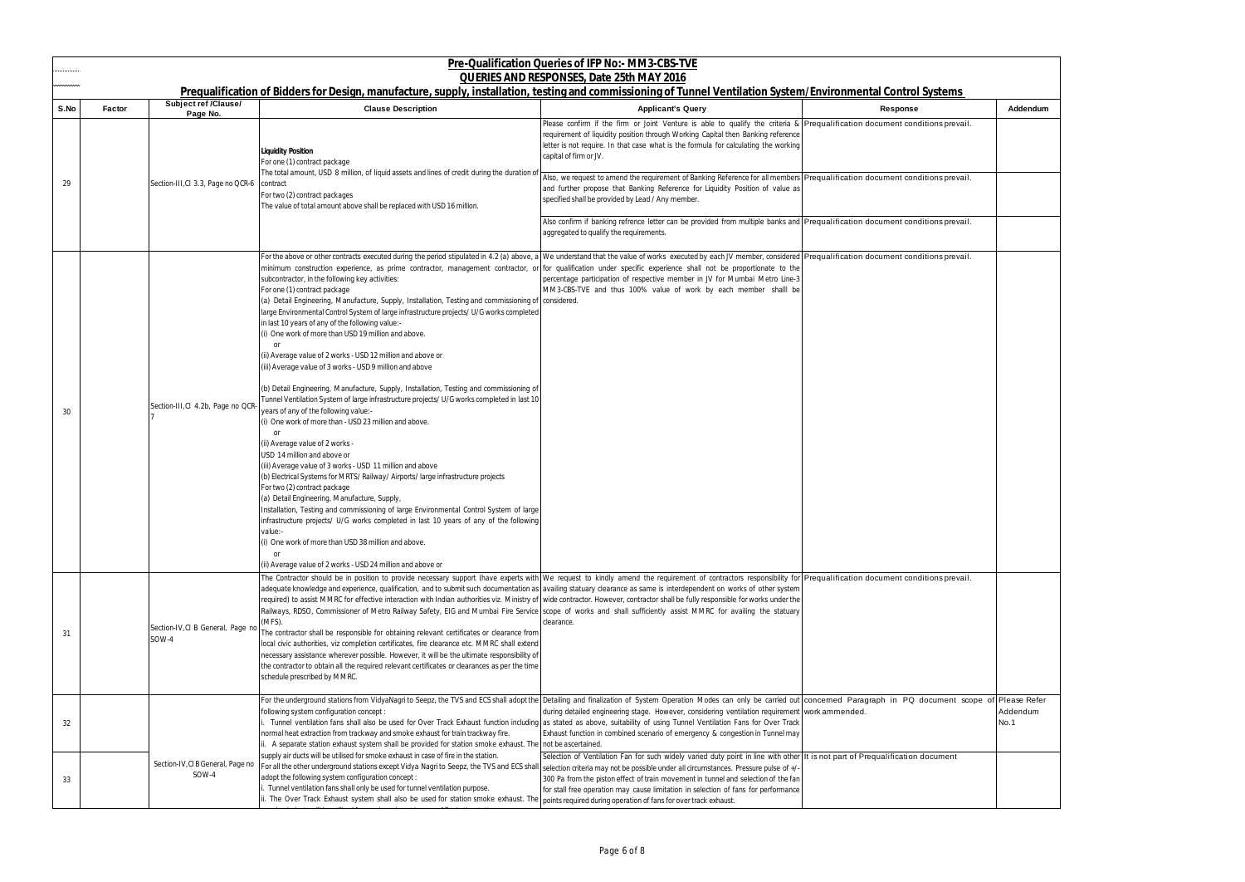| <u>ems</u>                 |                  |
|----------------------------|------------------|
|                            | Addendum         |
| sprevail.                  |                  |
|                            |                  |
| s prevail.                 |                  |
|                            |                  |
| s prevail.                 |                  |
|                            |                  |
| sprevail.                  |                  |
|                            |                  |
|                            |                  |
|                            |                  |
|                            |                  |
|                            |                  |
|                            |                  |
|                            |                  |
|                            |                  |
|                            |                  |
|                            |                  |
|                            |                  |
|                            |                  |
|                            |                  |
|                            |                  |
|                            |                  |
| s prevail.                 |                  |
|                            |                  |
|                            |                  |
|                            |                  |
|                            |                  |
|                            |                  |
| nent scope of Please Refer |                  |
|                            | Addendum<br>No.1 |
|                            |                  |
| nent                       |                  |
|                            |                  |
|                            |                  |
|                            |                  |

|      |               |                                            |                                                                                                                                                                                                                                                                                                                                                                                                                                                                                                                                                                                                                                                                                                                                                                                                                                                                                                                                                                                                                                                                                                                                                                                                                                                                                                                                                                                                                                                                                                                                                                                                                                                                                                                                                                     | Pre-Qualification Queries of IFP No:- MM3-CBS-TVE<br>QUERIES AND RESPONSES, Date 25th MAY 2016                                                                                                                                                                                                                                                                                |          |                  |
|------|---------------|--------------------------------------------|---------------------------------------------------------------------------------------------------------------------------------------------------------------------------------------------------------------------------------------------------------------------------------------------------------------------------------------------------------------------------------------------------------------------------------------------------------------------------------------------------------------------------------------------------------------------------------------------------------------------------------------------------------------------------------------------------------------------------------------------------------------------------------------------------------------------------------------------------------------------------------------------------------------------------------------------------------------------------------------------------------------------------------------------------------------------------------------------------------------------------------------------------------------------------------------------------------------------------------------------------------------------------------------------------------------------------------------------------------------------------------------------------------------------------------------------------------------------------------------------------------------------------------------------------------------------------------------------------------------------------------------------------------------------------------------------------------------------------------------------------------------------|-------------------------------------------------------------------------------------------------------------------------------------------------------------------------------------------------------------------------------------------------------------------------------------------------------------------------------------------------------------------------------|----------|------------------|
| S.No | <b>Factor</b> | Subject ref /Clause/                       | Prequalification of Bidders for Design, manufacture, supply, installation, testing and commissioning of Tunnel Ventilation System/Environmental Control Systems<br><b>Clause Description</b>                                                                                                                                                                                                                                                                                                                                                                                                                                                                                                                                                                                                                                                                                                                                                                                                                                                                                                                                                                                                                                                                                                                                                                                                                                                                                                                                                                                                                                                                                                                                                                        | <b>Applicant's Query</b>                                                                                                                                                                                                                                                                                                                                                      | Response | Addendum         |
|      |               | Page No.                                   | Liquidity Position<br>For one (1) contract package<br>The total amount, USD 8 million, of liquid assets and lines of credit during the duration o                                                                                                                                                                                                                                                                                                                                                                                                                                                                                                                                                                                                                                                                                                                                                                                                                                                                                                                                                                                                                                                                                                                                                                                                                                                                                                                                                                                                                                                                                                                                                                                                                   | Please confirm if the firm or Joint Venture is able to qualify the criteria & Prequalification document conditions prevail.<br>requirement of liquidity position through Working Capital then Banking reference<br>letter is not require. In that case what is the formula for calculating the working<br>capital of firm or JV.                                              |          |                  |
| 29   |               | Section-III, CI 3.3, Page no QCR-6         | contract<br>For two (2) contract packages<br>The value of total amount above shall be replaced with USD 16 million.                                                                                                                                                                                                                                                                                                                                                                                                                                                                                                                                                                                                                                                                                                                                                                                                                                                                                                                                                                                                                                                                                                                                                                                                                                                                                                                                                                                                                                                                                                                                                                                                                                                 | Also, we request to amend the requirement of Banking Reference for all members Prequalification document conditions prevail.<br>and further propose that Banking Reference for Liquidity Position of value as<br>specified shall be provided by Lead / Any member.                                                                                                            |          |                  |
|      |               |                                            |                                                                                                                                                                                                                                                                                                                                                                                                                                                                                                                                                                                                                                                                                                                                                                                                                                                                                                                                                                                                                                                                                                                                                                                                                                                                                                                                                                                                                                                                                                                                                                                                                                                                                                                                                                     | Also confirm if banking refrence letter can be provided from multiple banks and Prequalification document conditions prevail.<br>aggregated to qualify the requirements.                                                                                                                                                                                                      |          |                  |
| 30   |               | Section-III, CI 4.2b, Page no QCR          | For the above or other contracts executed during the period stipulated in 4.2 (a) above, a We understand that the value of works executed by each JV member, considered Prequalification document conditions prevail.<br>minimum construction experience, as prime contractor, management contractor, or for qualification under specific experience shall not be proportionate to the<br>subcontractor, in the following key activities:<br>For one (1) contract package<br>(a) Detail Engineering, Manufacture, Supply, Installation, Testing and commissioning of considered.<br>large Environmental Control System of large infrastructure projects/ U/G works completed<br>in last 10 years of any of the following value:-<br>(i) One work of more than USD 19 million and above.<br>(ii) Average value of 2 works - USD 12 million and above or<br>(iii) Average value of 3 works - USD 9 million and above<br>(b) Detail Engineering, Manufacture, Supply, Installation, Testing and commissioning of<br>Tunnel Ventilation System of large infrastructure projects/ U/G works completed in last 10<br>years of any of the following value:-<br>(i) One work of more than - USD 23 million and above.<br>(ii) Average value of 2 works -<br>USD 14 million and above or<br>(iii) Average value of 3 works - USD 11 million and above<br>(b) Electrical Systems for MRTS/Railway/Airports/large infrastructure projects<br>For two (2) contract package<br>(a) Detail Engineering, Manufacture, Supply,<br>Installation, Testing and commissioning of large Environmental Control System of large<br>infrastructure projects/ U/G works completed in last 10 years of any of the following<br>value:-<br>(i) One work of more than USD 38 million and above. | percentage participation of respective member in JV for Mumbai Metro Line-3<br>MM3-CBS-TVE and thus 100% value of work by each member shalll be                                                                                                                                                                                                                               |          |                  |
| 31   |               | Section-IV, CI B General, Page no<br>SOW-4 | .or<br>(ii) Average value of 2 works - USD 24 million and above or<br>The Contractor should be in position to provide necessary support (have experts with We request to kindly amend the requirement of contractors responsibility for Prequalification document conditions prevail.<br>adequate knowledge and experience, qualification, and to submit such documentation as   availing statuary clearance as same is interdependent on works of other system<br>required) to assist MMRC for effective interaction with Indian authorities viz. Ministry of  wide contractor. However, contractor shall be fully responsible for works under the<br>Railways, RDSO, Commissioner of Metro Railway Safety, EIG and Mumbai Fire Service scope of works and shall sufficiently assist MMRC for availing the statuary<br>(MFS).<br>The contractor shall be responsible for obtaining relevant certificates or clearance from<br>local civic authorities, viz completion certificates, fire clearance etc. MMRC shall extend<br>necessary assistance wherever possible. However, it will be the ultimate responsibility of<br>the contractor to obtain all the required relevant certificates or clearances as per the time<br>schedule prescribed by MMRC.                                                                                                                                                                                                                                                                                                                                                                                                                                                                                                           | clearance.                                                                                                                                                                                                                                                                                                                                                                    |          |                  |
| 32   |               |                                            | For the underground stations from VidyaNagri to Seepz, the TVS and ECS shall adopt the Detailing and finalization of System Operation Modes can only be carried out concerned Paragraph in PQ document scope of Please Refer<br>following system configuration concept :<br>Tunnel ventilation fans shall also be used for Over Track Exhaust function including as stated as above, suitability of using Tunnel Ventilation Fans for Over Track<br>normal heat extraction from trackway and smoke exhaust for train trackway fire.<br>ii. A separate station exhaust system shall be provided for station smoke exhaust. The not be ascertained.                                                                                                                                                                                                                                                                                                                                                                                                                                                                                                                                                                                                                                                                                                                                                                                                                                                                                                                                                                                                                                                                                                                   | during detailed engineering stage. However, considering ventilation requirement work ammended.<br>Exhaust function in combined scenario of emergency & congestion in Tunnel may                                                                                                                                                                                               |          | Addendum<br>No.1 |
| 33   |               | Section-IV, CI B General, Page no<br>SOW-4 | supply air ducts will be utilised for smoke exhaust in case of fire in the station.<br>For all the other underground stations except Vidya Nagri to Seepz, the TVS and ECS shall selection criteria may not be possible under all circumstances. Pressure pulse of +/-<br>adopt the following system configuration concept :<br>Tunnel ventilation fans shall only be used for tunnel ventilation purpose.<br>i. The Over Track Exhaust system shall also be used for station smoke exhaust. Th                                                                                                                                                                                                                                                                                                                                                                                                                                                                                                                                                                                                                                                                                                                                                                                                                                                                                                                                                                                                                                                                                                                                                                                                                                                                     | Selection of Ventilation Fan for such widely varied duty point in line with other It is not part of Prequalification document<br>300 Pa from the piston effect of train movement in tunnel and selection of the fan<br>for stall free operation may cause limitation in selection of fans for performance<br>points required during operation of fans for over track exhaust. |          |                  |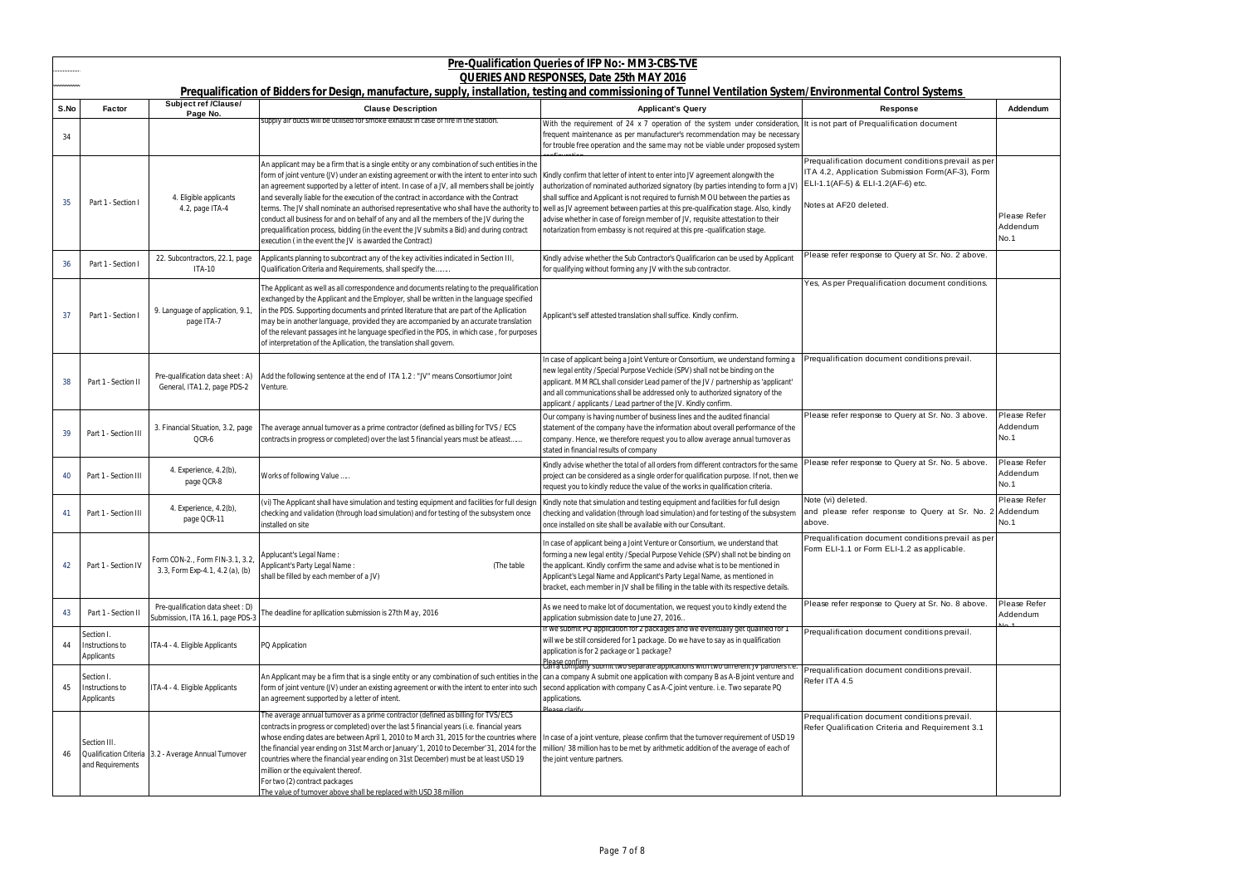|      |                                            |                                                                       | Prequalification of Bidders for Design, manufacture, supply, installation, testing and commissioning of Tunnel Ventilation System/Environmental Control Systems                                                                                                                                                                                                                                                                                                                                                                                                                                                                                                                                                                       | Pre-Qualification Queries of IFP No:- MM3-CBS-TVE<br>QUERIES AND RESPONSES, Date 25th MAY 2016                                                                                                                                                                                                                                                                                                                                                                                                                 |                                                                                                                                                                         |                                  |
|------|--------------------------------------------|-----------------------------------------------------------------------|---------------------------------------------------------------------------------------------------------------------------------------------------------------------------------------------------------------------------------------------------------------------------------------------------------------------------------------------------------------------------------------------------------------------------------------------------------------------------------------------------------------------------------------------------------------------------------------------------------------------------------------------------------------------------------------------------------------------------------------|----------------------------------------------------------------------------------------------------------------------------------------------------------------------------------------------------------------------------------------------------------------------------------------------------------------------------------------------------------------------------------------------------------------------------------------------------------------------------------------------------------------|-------------------------------------------------------------------------------------------------------------------------------------------------------------------------|----------------------------------|
| S.No | <b>Factor</b>                              | Subject ref /Clause/                                                  | <b>Clause Description</b>                                                                                                                                                                                                                                                                                                                                                                                                                                                                                                                                                                                                                                                                                                             | <b>Applicant's Query</b>                                                                                                                                                                                                                                                                                                                                                                                                                                                                                       | <b>Response</b>                                                                                                                                                         | Addendum                         |
| 34   |                                            | Page No.                                                              | supply air ducts will be utilised for smoke exhaust in case of fire in the station                                                                                                                                                                                                                                                                                                                                                                                                                                                                                                                                                                                                                                                    | With the requirement of 24 x 7 operation of the system under consideration, It is not part of Prequalification document<br>requent maintenance as per manufacturer's recommendation may be necessary<br>for trouble free operation and the same may not be viable under proposed system                                                                                                                                                                                                                        |                                                                                                                                                                         |                                  |
| 35   | Part 1 - Section I                         | 4. Eligible applicants<br>4.2, page ITA-4                             | An applicant may be a firm that is a single entity or any combination of such entities in the<br>form of joint venture (JV) under an existing agreement or with the intent to enter into such<br>an agreement supported by a letter of intent. In case of a JV, all members shall be jointly<br>and severally liable for the execution of the contract in accordance with the Contract<br>terms. The JV shall nominate an authorised representative who shall have the authority to<br>conduct all business for and on behalf of any and all the members of the JV during the<br>prequalification process, bidding (in the event the JV submits a Bid) and during contract<br>execution (in the event the JV is awarded the Contract) | Kindly confirm that letter of intent to enter into JV agreement alongwith the<br>authorization of nominated authorized signatory (by parties intending to form a JV<br>shall suffice and Applicant is not required to furnish MOU between the parties as<br>well as JV agreement between parties at this pre-qualification stage. Also, kindly<br>advise whether in case of foreign member of JV, requisite attestation to their<br>notarization from embassy is not required at this pre-qualification stage. | Prequalification document conditions prevail as per<br>ITA 4.2, Application Submission Form(AF-3), Form<br>ELI-1.1(AF-5) & ELI-1.2(AF-6) etc.<br>Notes at AF20 deleted. | Please Refer<br>Addendum<br>No.1 |
| 36   | Part 1 - Section I                         | 22. Subcontractors, 22.1, page<br><b>ITA-10</b>                       | Applicants planning to subcontract any of the key activities indicated in Section III,<br>Qualification Criteria and Requirements, shall specify the                                                                                                                                                                                                                                                                                                                                                                                                                                                                                                                                                                                  | Kindly advise whether the Sub Contractor's Qualificarion can be used by Applicant<br>for qualifying without forming any JV with the sub contractor.                                                                                                                                                                                                                                                                                                                                                            | Please refer response to Query at Sr. No. 2 above.                                                                                                                      |                                  |
| 37   | Part 1 - Section I                         | 9. Language of application, 9.1<br>page ITA-7                         | The Applicant as well as all correspondence and documents relating to the prequalification<br>exchanged by the Applicant and the Employer, shall be written in the language specified<br>in the PDS. Supporting documents and printed literature that are part of the Apllication<br>may be in another language, provided they are accompanied by an accurate translation<br>of the relevant passages int he language specified in the PDS, in which case, for purposes<br>of interpretation of the Apllication, the translation shall govern.                                                                                                                                                                                        | Applicant's self attested translation shall suffice. Kindly confirm.                                                                                                                                                                                                                                                                                                                                                                                                                                           | Yes, As per Prequalification document conditions.                                                                                                                       |                                  |
| 38   | Part 1 - Section II                        | Pre-qualification data sheet: A)<br>General, ITA1.2, page PDS-2       | Add the following sentence at the end of ITA 1.2 : "JV" means Consortiumor Joint<br>Venture.                                                                                                                                                                                                                                                                                                                                                                                                                                                                                                                                                                                                                                          | n case of applicant being a Joint Venture or Consortium, we understand forming a<br>new legal entity /Special Purpose Vechicle (SPV) shall not be binding on the<br>applicant. MMRCL shall consider Lead parner of the JV / partnership as 'applicant'<br>and all communications shall be addressed only to authorized signatory of the<br>applicant / applicants / Lead partner of the JV. Kindly confirm                                                                                                     | Prequalification document conditions prevail.                                                                                                                           |                                  |
| 39   | Part 1 - Section III                       | 3. Financial Situation, 3.2, page<br>QCR-6                            | The average annual turnover as a prime contractor (defined as billing for TVS / ECS<br>contracts in progress or completed) over the last 5 financial years must be atleast                                                                                                                                                                                                                                                                                                                                                                                                                                                                                                                                                            | Our company is having number of business lines and the audited financial<br>statement of the company have the information about overall performance of the<br>company. Hence, we therefore request you to allow average annual turnover as<br>stated in financial results of company                                                                                                                                                                                                                           | Please refer response to Query at Sr. No. 3 above.                                                                                                                      | Please Refer<br>Addendum<br>No.1 |
| 40   | Part 1 - Section III                       | 4. Experience, 4.2(b),<br>page QCR-8                                  | Works of following Value                                                                                                                                                                                                                                                                                                                                                                                                                                                                                                                                                                                                                                                                                                              | Kindly advise whether the total of all orders from different contractors for the same<br>project can be considered as a single order for qualification purpose. If not, then we<br>request you to kindly reduce the value of the works in qualification criteria.                                                                                                                                                                                                                                              | Please refer response to Query at Sr. No. 5 above.                                                                                                                      | Please Refer<br>Addendum<br>No.1 |
| 41   | Part 1 - Section III                       | 4. Experience, 4.2(b),<br>page QCR-11                                 | (vi) The Applicant shall have simulation and testing equipment and facilities for full design<br>checking and validation (through load simulation) and for testing of the subsystem once<br>installed on site                                                                                                                                                                                                                                                                                                                                                                                                                                                                                                                         | Kindly note that simulation and testing equipment and facilities for full design<br>checking and validation (through load simulation) and for testing of the subsystem<br>once installed on site shall be available with our Consultant.                                                                                                                                                                                                                                                                       | Note (vi) deleted.<br>and please refer response to Query at Sr. No. 2 Addendum<br>above.                                                                                | Please Refer<br>No.1             |
| 42   | Part 1 - Section IV                        | Form CON-2., Form FIN-3.1, 3.2,<br>3.3, Form Exp-4.1, 4.2 (a), (b)    | Applucant's Legal Name:<br>Applicant's Party Legal Name:<br>(The table)<br>shall be filled by each member of a JV)                                                                                                                                                                                                                                                                                                                                                                                                                                                                                                                                                                                                                    | n case of applicant being a Joint Venture or Consortium, we understand that<br>forming a new legal entity /Special Purpose Vehicle (SPV) shall not be binding on<br>the applicant. Kindly confirm the same and advise what is to be mentioned in<br>Applicant's Legal Name and Applicant's Party Legal Name, as mentioned in<br>bracket, each member in JV shall be filling in the table with its respective details.                                                                                          | Prequalification document conditions prevail as per<br>Form ELI-1.1 or Form ELI-1.2 as applicable.                                                                      |                                  |
| 43   | Part 1 - Section II                        | Pre-qualification data sheet : D)<br>Submission, ITA 16.1, page PDS-3 | The deadline for apllication submission is 27th May, 2016                                                                                                                                                                                                                                                                                                                                                                                                                                                                                                                                                                                                                                                                             | As we need to make lot of documentation, we request you to kindly extend the<br>application submission date to June 27, 2016.                                                                                                                                                                                                                                                                                                                                                                                  | Please refer response to Query at Sr. No. 8 above.                                                                                                                      | Please Refer<br>Addendum         |
| 44   | Section I<br>Instructions to<br>Applicants | ITA-4 - 4. Eligible Applicants                                        | PQ Application                                                                                                                                                                                                                                                                                                                                                                                                                                                                                                                                                                                                                                                                                                                        | f we submit PQ application for 2 packages and we eventually get qualified for 1<br>will we be still considered for 1 package. Do we have to say as in qualification<br>application is for 2 package or 1 package?<br><u>Please confirm</u><br>Can a company submit two separate applications with two different Jv partners i.e                                                                                                                                                                                | Prequalification document conditions prevail.                                                                                                                           |                                  |
| 45   | Section I.<br>nstructions to<br>Applicants | ITA-4 - 4. Eligible Applicants                                        | An Applicant may be a firm that is a single entity or any combination of such entities in the<br>form of joint venture (JV) under an existing agreement or with the intent to enter into such<br>an agreement supported by a letter of intent.                                                                                                                                                                                                                                                                                                                                                                                                                                                                                        | can a company A submit one application with company B as A-B joint venture and<br>second application with company C as A-C joint venture. i.e. Two separate PQ<br>applications.<br><u>.<br/>Please clarify</u>                                                                                                                                                                                                                                                                                                 | Prequalification document conditions prevail.<br>Refer ITA 4.5                                                                                                          |                                  |
| 46   | Section III.<br>and Requirements           | Qualification Criteria 3.2 - Average Annual Turnover                  | The average annual turnover as a prime contractor (defined as billing for TVS/ECS<br>contracts in progress or completed) over the last 5 financial years (i.e. financial years<br>whose ending dates are between April 1, 2010 to March 31, 2015 for the countries where<br>the financial year ending on 31st March or January'1, 2010 to December'31, 2014 for the<br>countries where the financial year ending on 31st December) must be at least USD 19<br>million or the equivalent thereof.<br>For two (2) contract packages<br>The value of turnover above shall be replaced with USD 38 million                                                                                                                                | In case of a joint venture, please confirm that the turnover requirement of USD 19<br>million/38 million has to be met by arithmetic addition of the average of each of<br>the joint venture partners.                                                                                                                                                                                                                                                                                                         | Prequalification document conditions prevail.<br>Refer Qualification Criteria and Requirement 3.1                                                                       |                                  |